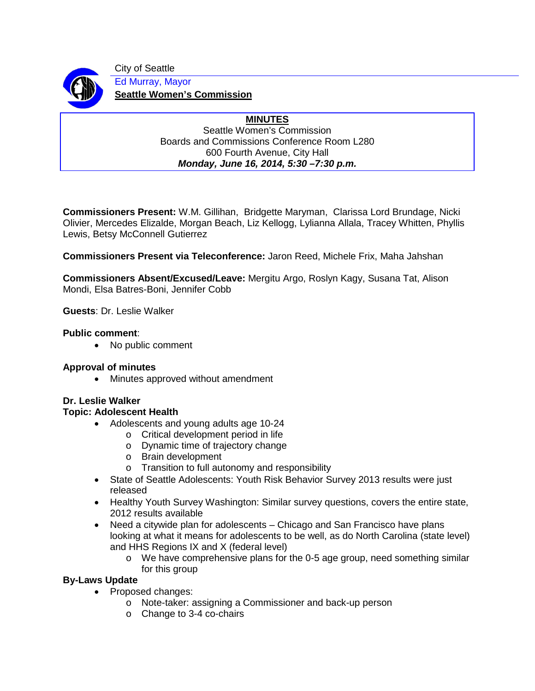

City of Seattle Ed Murray, Mayor **Seattle Women's Commission**

#### **MINUTES** Seattle Women's Commission Boards and Commissions Conference Room L280 600 Fourth Avenue, City Hall *Monday, June 16, 2014, 5:30 –7:30 p.m.*

**Commissioners Present:** W.M. Gillihan, Bridgette Maryman, Clarissa Lord Brundage, Nicki Olivier, Mercedes Elizalde, Morgan Beach, Liz Kellogg, Lylianna Allala, Tracey Whitten, Phyllis Lewis, Betsy McConnell Gutierrez

**Commissioners Present via Teleconference:** Jaron Reed, Michele Frix, Maha Jahshan

**Commissioners Absent/Excused/Leave:** Mergitu Argo, Roslyn Kagy, Susana Tat, Alison Mondi, Elsa Batres-Boni, Jennifer Cobb

**Guests**: Dr. Leslie Walker

### **Public comment**:

• No public comment

# **Approval of minutes**

• Minutes approved without amendment

### **Dr. Leslie Walker**

### **Topic: Adolescent Health**

- Adolescents and young adults age 10-24
	- o Critical development period in life
	- o Dynamic time of trajectory change
	- o Brain development
	- o Transition to full autonomy and responsibility
- State of Seattle Adolescents: Youth Risk Behavior Survey 2013 results were just released
- Healthy Youth Survey Washington: Similar survey questions, covers the entire state, 2012 results available
- Need a citywide plan for adolescents Chicago and San Francisco have plans looking at what it means for adolescents to be well, as do North Carolina (state level) and HHS Regions IX and X (federal level)
	- o We have comprehensive plans for the 0-5 age group, need something similar for this group

# **By-Laws Update**

- Proposed changes:
	- o Note-taker: assigning a Commissioner and back-up person
	- o Change to 3-4 co-chairs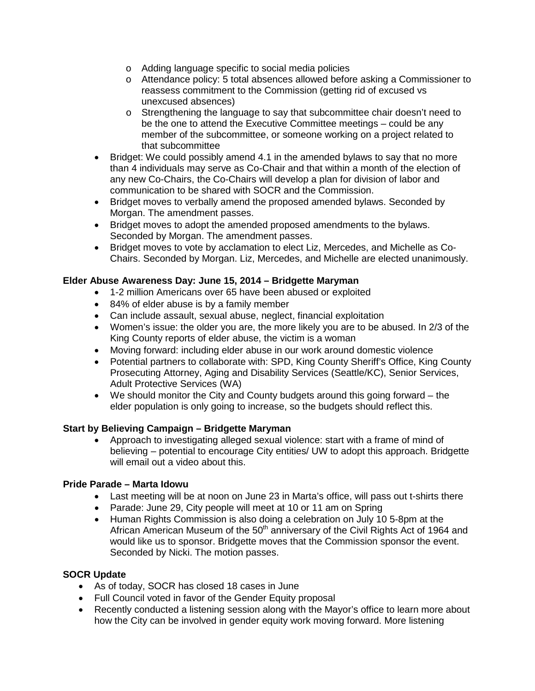- o Adding language specific to social media policies
- o Attendance policy: 5 total absences allowed before asking a Commissioner to reassess commitment to the Commission (getting rid of excused vs unexcused absences)
- o Strengthening the language to say that subcommittee chair doesn't need to be the one to attend the Executive Committee meetings – could be any member of the subcommittee, or someone working on a project related to that subcommittee
- Bridget: We could possibly amend 4.1 in the amended bylaws to say that no more than 4 individuals may serve as Co-Chair and that within a month of the election of any new Co-Chairs, the Co-Chairs will develop a plan for division of labor and communication to be shared with SOCR and the Commission.
- Bridget moves to verbally amend the proposed amended bylaws. Seconded by Morgan. The amendment passes.
- Bridget moves to adopt the amended proposed amendments to the bylaws. Seconded by Morgan. The amendment passes.
- Bridget moves to vote by acclamation to elect Liz, Mercedes, and Michelle as Co-Chairs. Seconded by Morgan. Liz, Mercedes, and Michelle are elected unanimously.

# **Elder Abuse Awareness Day: June 15, 2014 – Bridgette Maryman**

- 1-2 million Americans over 65 have been abused or exploited
- 84% of elder abuse is by a family member
- Can include assault, sexual abuse, neglect, financial exploitation
- Women's issue: the older you are, the more likely you are to be abused. In 2/3 of the King County reports of elder abuse, the victim is a woman
- Moving forward: including elder abuse in our work around domestic violence
- Potential partners to collaborate with: SPD, King County Sheriff's Office, King County Prosecuting Attorney, Aging and Disability Services (Seattle/KC), Senior Services, Adult Protective Services (WA)
- We should monitor the City and County budgets around this going forward the elder population is only going to increase, so the budgets should reflect this.

### **Start by Believing Campaign – Bridgette Maryman**

• Approach to investigating alleged sexual violence: start with a frame of mind of believing – potential to encourage City entities/ UW to adopt this approach. Bridgette will email out a video about this.

### **Pride Parade – Marta Idowu**

- Last meeting will be at noon on June 23 in Marta's office, will pass out t-shirts there
- Parade: June 29, City people will meet at 10 or 11 am on Spring
- Human Rights Commission is also doing a celebration on July 10 5-8pm at the African American Museum of the 50<sup>th</sup> anniversary of the Civil Rights Act of 1964 and would like us to sponsor. Bridgette moves that the Commission sponsor the event. Seconded by Nicki. The motion passes.

### **SOCR Update**

- As of today, SOCR has closed 18 cases in June
- Full Council voted in favor of the Gender Equity proposal
- Recently conducted a listening session along with the Mayor's office to learn more about how the City can be involved in gender equity work moving forward. More listening